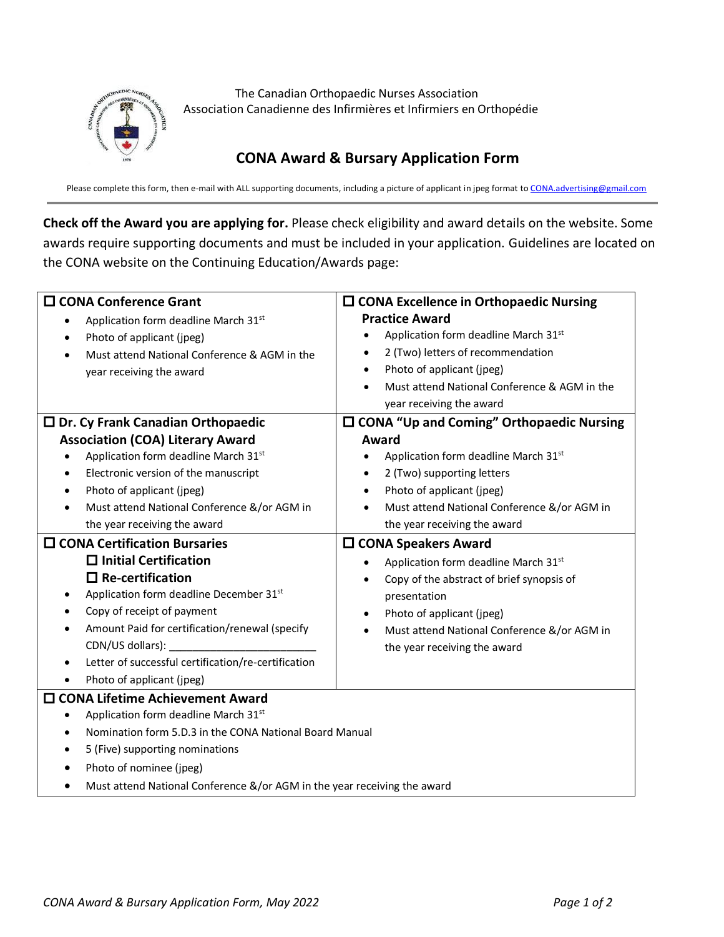

The Canadian Orthopaedic Nurses Association Association Canadienne des Infirmières et Infirmiers en Orthopédie

## **CONA Award & Bursary Application Form**

Please complete this form, then e-mail with ALL supporting documents, including a picture of applicant in jpeg format t[o CONA.advertising@gmail.com](mailto:CONA.advertising@gmail.com)

**Check off the Award you are applying for.** Please check eligibility and award details on the website. Some awards require supporting documents and must be included in your application. Guidelines are located on the CONA website on the Continuing Education/Awards page:

| □ CONA Conference Grant                                                  | $\square$ CONA Excellence in Orthopaedic Nursing       |  |
|--------------------------------------------------------------------------|--------------------------------------------------------|--|
| Application form deadline March 31st                                     | <b>Practice Award</b>                                  |  |
| Photo of applicant (jpeg)                                                | Application form deadline March 31st<br>$\bullet$      |  |
| Must attend National Conference & AGM in the                             | 2 (Two) letters of recommendation<br>$\bullet$         |  |
| year receiving the award                                                 | Photo of applicant (jpeg)<br>$\bullet$                 |  |
|                                                                          | Must attend National Conference & AGM in the           |  |
|                                                                          | year receiving the award                               |  |
| $\square$ Dr. Cy Frank Canadian Orthopaedic                              | $\square$ CONA "Up and Coming" Orthopaedic Nursing     |  |
| <b>Association (COA) Literary Award</b>                                  | Award                                                  |  |
| Application form deadline March 31st<br>$\bullet$                        | Application form deadline March 31st<br>$\bullet$      |  |
| Electronic version of the manuscript<br>$\bullet$                        | 2 (Two) supporting letters<br>$\bullet$                |  |
| Photo of applicant (jpeg)<br>$\bullet$                                   | Photo of applicant (jpeg)<br>٠                         |  |
| Must attend National Conference &/or AGM in                              | Must attend National Conference &/or AGM in            |  |
| the year receiving the award                                             | the year receiving the award                           |  |
| $\square$ CONA Certification Bursaries                                   | $\square$ CONA Speakers Award                          |  |
| $\Box$ Initial Certification                                             | Application form deadline March 31st                   |  |
| $\square$ Re-certification                                               | Copy of the abstract of brief synopsis of<br>$\bullet$ |  |
| Application form deadline December 31st<br>$\bullet$                     | presentation                                           |  |
| Copy of receipt of payment                                               | Photo of applicant (jpeg)                              |  |
| Amount Paid for certification/renewal (specify                           | Must attend National Conference &/or AGM in            |  |
| CDN/US dollars):                                                         | the year receiving the award                           |  |
| Letter of successful certification/re-certification<br>$\bullet$         |                                                        |  |
| Photo of applicant (jpeg)<br>$\bullet$                                   |                                                        |  |
| □ CONA Lifetime Achievement Award                                        |                                                        |  |
| Application form deadline March 31st<br>٠                                |                                                        |  |
| Nomination form 5.D.3 in the CONA National Board Manual<br>$\bullet$     |                                                        |  |
| 5 (Five) supporting nominations<br>٠                                     |                                                        |  |
| Photo of nominee (jpeg)                                                  |                                                        |  |
| Must attend National Conference &/or AGM in the year receiving the award |                                                        |  |
|                                                                          |                                                        |  |